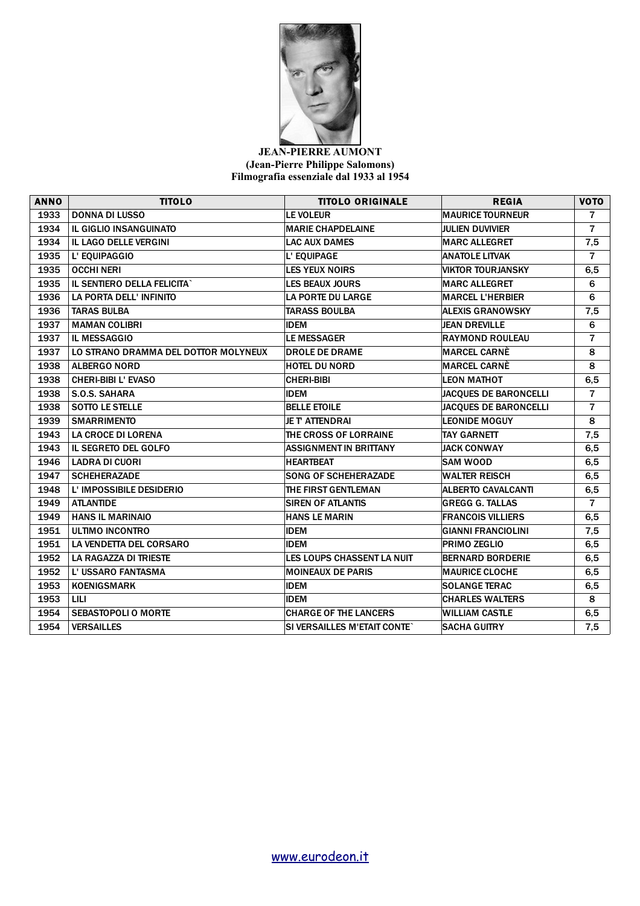

## **JEAN-PIERRE AUMONT (Jean-Pierre Philippe Salomons) Filmografia essenziale dal 1933 al 1954**

| <b>ANNO</b> | <b>TITOLO</b>                        | <b>TITOLO ORIGINALE</b>                | <b>REGIA</b>                 | VOTO           |
|-------------|--------------------------------------|----------------------------------------|------------------------------|----------------|
| 1933        | <b>DONNA DI LUSSO</b>                | <b>LE VOLEUR</b>                       | <b>MAURICE TOURNEUR</b>      | $\overline{7}$ |
| 1934        | <b>IL GIGLIO INSANGUINATO</b>        | <b>MARIE CHAPDELAINE</b>               | <b>JULIEN DUVIVIER</b>       | $\overline{7}$ |
| 1934        | IL LAGO DELLE VERGINI                | <b>LAC AUX DAMES</b>                   | <b>MARC ALLEGRET</b>         | 7,5            |
| 1935        | L' EQUIPAGGIO                        | L' EQUIPAGE                            | <b>ANATOLE LITVAK</b>        | $\overline{7}$ |
| 1935        | <b>OCCHINERI</b>                     | <b>LES YEUX NOIRS</b>                  | <b>VIKTOR TOURJANSKY</b>     | 6,5            |
| 1935        | IL SENTIERO DELLA FELICITA`          | <b>LES BEAUX JOURS</b>                 | <b>MARC ALLEGRET</b>         | 6              |
| 1936        | LA PORTA DELL' INFINITO              | LA PORTE DU LARGE                      | <b>MARCEL L'HERBIER</b>      | 6              |
| 1936        | <b>TARAS BULBA</b>                   | <b>TARASS BOULBA</b>                   | <b>ALEXIS GRANOWSKY</b>      | 7,5            |
| 1937        | <b>MAMAN COLIBRI</b>                 | <b>IDEM</b>                            | <b>JEAN DREVILLE</b>         | 6              |
| 1937        | IL MESSAGGIO                         | <b>LE MESSAGER</b>                     | <b>RAYMOND ROULEAU</b>       | $\overline{7}$ |
| 1937        | LO STRANO DRAMMA DEL DOTTOR MOLYNEUX | <b>DROLE DE DRAME</b>                  | <b>MARCEL CARNÈ</b>          | 8              |
| 1938        | <b>ALBERGO NORD</b>                  | <b>HOTEL DU NORD</b>                   | <b>MARCEL CARNÈ</b>          | 8              |
| 1938        | <b>CHERI-BIBI L' EVASO</b>           | <b>CHERI-BIBI</b>                      | <b>LEON MATHOT</b>           | 6,5            |
| 1938        | S.O.S. SAHARA                        | <b>IDEM</b>                            | <b>JACQUES DE BARONCELLI</b> | $\overline{7}$ |
| 1938        | <b>SOTTO LE STELLE</b>               | <b>BELLE ETOILE</b>                    | JACQUES DE BARONCELLI        | $\overline{7}$ |
| 1939        | <b>SMARRIMENTO</b>                   | <b>JE T' ATTENDRAI</b>                 | <b>LEONIDE MOGUY</b>         | 8              |
| 1943        | <b>LA CROCE DI LORENA</b>            | <b>THE CROSS OF LORRAINE</b>           | <b>TAY GARNETT</b>           | 7,5            |
| 1943        | IL SEGRETO DEL GOLFO                 | <b>ASSIGNMENT IN BRITTANY</b>          | <b>JACK CONWAY</b>           | 6, 5           |
| 1946        | <b>LADRA DI CUORI</b>                | <b>HEARTBEAT</b>                       | <b>SAM WOOD</b>              | 6, 5           |
| 1947        | <b>SCHEHERAZADE</b>                  | <b>SONG OF SCHEHERAZADE</b>            | <b>WALTER REISCH</b>         | 6,5            |
| 1948        | L' IMPOSSIBILE DESIDERIO             | THE FIRST GENTLEMAN                    | <b>ALBERTO CAVALCANTI</b>    | 6, 5           |
| 1949        | <b>ATLANTIDE</b>                     | <b>SIREN OF ATLANTIS</b>               | <b>GREGG G. TALLAS</b>       | $\overline{7}$ |
| 1949        | <b>HANS IL MARINAIO</b>              | <b>HANS LE MARIN</b>                   | <b>FRANCOIS VILLIERS</b>     | 6,5            |
| 1951        | <b>ULTIMO INCONTRO</b>               | <b>IDEM</b>                            | <b>GIANNI FRANCIOLINI</b>    | 7,5            |
| 1951        | <b>LA VENDETTA DEL CORSARO</b>       | <b>IDEM</b>                            | <b>PRIMO ZEGLIO</b>          | 6, 5           |
| 1952        | <b>LA RAGAZZA DI TRIESTE</b>         | LES LOUPS CHASSENT LA NUIT             | <b>BERNARD BORDERIE</b>      | 6, 5           |
| 1952        | L' USSARO FANTASMA                   | <b>MOINEAUX DE PARIS</b>               | <b>MAURICE CLOCHE</b>        | 6,5            |
| 1953        | <b>KOENIGSMARK</b>                   | <b>IDEM</b>                            | <b>SOLANGE TERAC</b>         | 6,5            |
| 1953        | <b>LILI</b>                          | <b>IDEM</b>                            | <b>CHARLES WALTERS</b>       | 8              |
| 1954        | <b>SEBASTOPOLI O MORTE</b>           | <b>CHARGE OF THE LANCERS</b>           | <b>WILLIAM CASTLE</b>        | 6,5            |
| 1954        | <b>VERSAILLES</b>                    | $\,$ ISI VERSAILLES M'ETAIT CONTE $\,$ | <b>SACHA GUITRY</b>          | 7,5            |